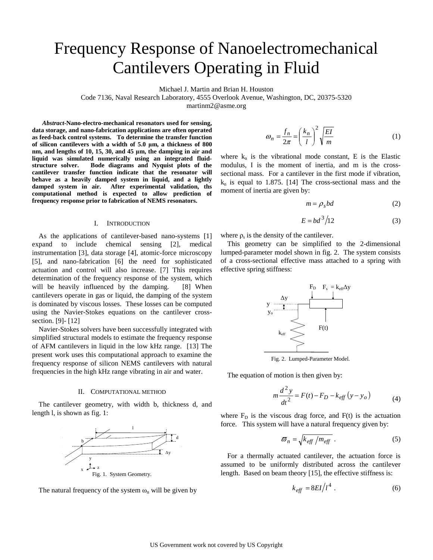# Frequency Response of Nanoelectromechanical Cantilevers Operating in Fluid

Michael J. Martin and Brian H. Houston

Code 7136, Naval Research Laboratory, 4555 Overlook Avenue, Washington, DC, 20375-5320

martinm2@asme.org

*Abstract-***Nano-electro-mechanical resonators used for sensing, data storage, and nano-fabrication applications are often operated as feed-back control systems. To determine the transfer function of silicon cantilevers with a width of 5.0 μm, a thickness of 800 nm, and lengths of 10, 15, 30, and 45 μm, the damping in air and liquid was simulated numerically using an integrated fluidstructure solver. Bode diagrams and Nyquist plots of the cantilever transfer function indicate that the resonator will behave as a heavily damped system in liquid, and a lightly damped system in air. After experimental validation, ths computational method is expected to allow prediction of frequency response prior to fabrication of NEMS resonators.** 

#### I. INTRODUCTION

As the applications of cantilever-based nano-systems [1] expand to include chemical sensing [2], medical instrumentation [3], data storage [4], atomic-force microscopy [5], and nano-fabrication [6] the need for sophisticated actuation and control will also increase. [7] This requires determination of the frequency response of the system, which will be heavily influenced by the damping. [8] When cantilevers operate in gas or liquid, the damping of the system is dominated by viscous losses. These losses can be computed using the Navier-Stokes equations on the cantilever crosssection. [9]- [12]

Navier-Stokes solvers have been successfully integrated with simplified structural models to estimate the frequency response of AFM cantilevers in liquid in the low kHz range. [13] The present work uses this computational approach to examine the frequency response of silicon NEMS cantilevers with natural frequencies in the high kHz range vibrating in air and water.

#### II. COMPUTATIONAL METHOD

The cantilever geometry, with width b, thickness d, and length l, is shown as fig. 1:



The natural frequency of the system  $\omega_n$  will be given by

$$
\omega_n = \frac{f_n}{2\pi} = \left(\frac{k_n}{l}\right)^2 \sqrt{\frac{EI}{m}}\tag{1}
$$

where  $k_n$  is the vibrational mode constant, E is the Elastic modulus, I is the moment of inertia, and m is the crosssectional mass. For a cantilever in the first mode if vibration,  $k_n$  is equal to 1.875. [14] The cross-sectional mass and the moment of inertia are given by:

$$
m = \rho_s bd \tag{2}
$$

$$
E = bd^3/12\tag{3}
$$

where  $\rho_s$  is the density of the cantilever.

This geometry can be simplified to the 2-dimensional lumped-parameter model shown in fig. 2. The system consists of a cross-sectional effective mass attached to a spring with effective spring stiffness:



Fig. 2. Lumped-Parameter Model.

The equation of motion is then given by:

$$
m\frac{d^{2}y}{dt^{2}} = F(t) - F_{D} - k_{eff}(y - y_{o})
$$
 (4)

where  $F<sub>D</sub>$  is the viscous drag force, and  $F(t)$  is the actuation force. This system will have a natural frequency given by:

$$
\varpi_n = \sqrt{k_{\text{eff}} / m_{\text{eff}}}
$$
 (5)

For a thermally actuated cantilever, the actuation force is assumed to be uniformly distributed across the cantilever length. Based on beam theory [15], the effective stiffness is:

$$
k_{\text{eff}} = 8EI/l^4 \tag{6}
$$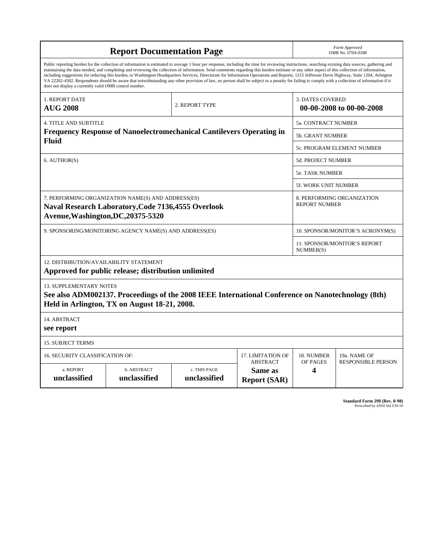| <b>Report Documentation Page</b>                                                                                                                                                                                                                                                                                                                                                                                                                                                                                                                                                                                                                                                                                                                                                                                                                                   |                                      |                              |                                |                                                     | Form Approved<br>OMB No. 0704-0188                 |  |  |
|--------------------------------------------------------------------------------------------------------------------------------------------------------------------------------------------------------------------------------------------------------------------------------------------------------------------------------------------------------------------------------------------------------------------------------------------------------------------------------------------------------------------------------------------------------------------------------------------------------------------------------------------------------------------------------------------------------------------------------------------------------------------------------------------------------------------------------------------------------------------|--------------------------------------|------------------------------|--------------------------------|-----------------------------------------------------|----------------------------------------------------|--|--|
| Public reporting burden for the collection of information is estimated to average 1 hour per response, including the time for reviewing instructions, searching existing data sources, gathering and<br>maintaining the data needed, and completing and reviewing the collection of information. Send comments regarding this burden estimate or any other aspect of this collection of information,<br>including suggestions for reducing this burden, to Washington Headquarters Services, Directorate for Information Operations and Reports, 1215 Jefferson Davis Highway, Suite 1204, Arlington<br>VA 22202-4302. Respondents should be aware that notwithstanding any other provision of law, no person shall be subject to a penalty for failing to comply with a collection of information if it<br>does not display a currently valid OMB control number. |                                      |                              |                                |                                                     |                                                    |  |  |
| 1. REPORT DATE<br><b>AUG 2008</b>                                                                                                                                                                                                                                                                                                                                                                                                                                                                                                                                                                                                                                                                                                                                                                                                                                  |                                      | 2. REPORT TYPE               |                                | <b>3. DATES COVERED</b><br>00-00-2008 to 00-00-2008 |                                                    |  |  |
| <b>4. TITLE AND SUBTITLE</b>                                                                                                                                                                                                                                                                                                                                                                                                                                                                                                                                                                                                                                                                                                                                                                                                                                       |                                      |                              |                                |                                                     | 5a. CONTRACT NUMBER                                |  |  |
| <b>Frequency Response of Nanoelectromechanical Cantilevers Operating in</b><br><b>Fluid</b>                                                                                                                                                                                                                                                                                                                                                                                                                                                                                                                                                                                                                                                                                                                                                                        |                                      |                              |                                |                                                     | 5b. GRANT NUMBER                                   |  |  |
|                                                                                                                                                                                                                                                                                                                                                                                                                                                                                                                                                                                                                                                                                                                                                                                                                                                                    |                                      |                              |                                |                                                     | 5c. PROGRAM ELEMENT NUMBER                         |  |  |
| 6. AUTHOR(S)                                                                                                                                                                                                                                                                                                                                                                                                                                                                                                                                                                                                                                                                                                                                                                                                                                                       |                                      |                              |                                |                                                     | 5d. PROJECT NUMBER                                 |  |  |
|                                                                                                                                                                                                                                                                                                                                                                                                                                                                                                                                                                                                                                                                                                                                                                                                                                                                    |                                      |                              |                                |                                                     | <b>5e. TASK NUMBER</b>                             |  |  |
|                                                                                                                                                                                                                                                                                                                                                                                                                                                                                                                                                                                                                                                                                                                                                                                                                                                                    |                                      |                              |                                |                                                     | <b>5f. WORK UNIT NUMBER</b>                        |  |  |
| 7. PERFORMING ORGANIZATION NAME(S) AND ADDRESS(ES)<br>Naval Research Laboratory, Code 7136, 4555 Overlook<br>Avenue, Washington, DC, 20375-5320                                                                                                                                                                                                                                                                                                                                                                                                                                                                                                                                                                                                                                                                                                                    |                                      |                              |                                |                                                     | 8. PERFORMING ORGANIZATION<br><b>REPORT NUMBER</b> |  |  |
| 9. SPONSORING/MONITORING AGENCY NAME(S) AND ADDRESS(ES)                                                                                                                                                                                                                                                                                                                                                                                                                                                                                                                                                                                                                                                                                                                                                                                                            |                                      |                              |                                |                                                     | 10. SPONSOR/MONITOR'S ACRONYM(S)                   |  |  |
|                                                                                                                                                                                                                                                                                                                                                                                                                                                                                                                                                                                                                                                                                                                                                                                                                                                                    |                                      |                              |                                |                                                     | 11. SPONSOR/MONITOR'S REPORT<br>NUMBER(S)          |  |  |
| 12. DISTRIBUTION/AVAILABILITY STATEMENT<br>Approved for public release; distribution unlimited                                                                                                                                                                                                                                                                                                                                                                                                                                                                                                                                                                                                                                                                                                                                                                     |                                      |                              |                                |                                                     |                                                    |  |  |
| 13. SUPPLEMENTARY NOTES<br>See also ADM002137. Proceedings of the 2008 IEEE International Conference on Nanotechnology (8th)<br>Held in Arlington, TX on August 18-21, 2008.                                                                                                                                                                                                                                                                                                                                                                                                                                                                                                                                                                                                                                                                                       |                                      |                              |                                |                                                     |                                                    |  |  |
| 14. ABSTRACT<br>see report                                                                                                                                                                                                                                                                                                                                                                                                                                                                                                                                                                                                                                                                                                                                                                                                                                         |                                      |                              |                                |                                                     |                                                    |  |  |
| <b>15. SUBJECT TERMS</b>                                                                                                                                                                                                                                                                                                                                                                                                                                                                                                                                                                                                                                                                                                                                                                                                                                           |                                      |                              |                                |                                                     |                                                    |  |  |
| 16. SECURITY CLASSIFICATION OF:                                                                                                                                                                                                                                                                                                                                                                                                                                                                                                                                                                                                                                                                                                                                                                                                                                    | 17. LIMITATION OF<br><b>ABSTRACT</b> | 18. NUMBER                   | 19a. NAME OF                   |                                                     |                                                    |  |  |
| a. REPORT<br>unclassified                                                                                                                                                                                                                                                                                                                                                                                                                                                                                                                                                                                                                                                                                                                                                                                                                                          | b. ABSTRACT<br>unclassified          | c. THIS PAGE<br>unclassified | Same as<br><b>Report (SAR)</b> | OF PAGES<br>4                                       | <b>RESPONSIBLE PERSON</b>                          |  |  |

**Standard Form 298 (Rev. 8-98)**<br>Prescribed by ANSI Std Z39-18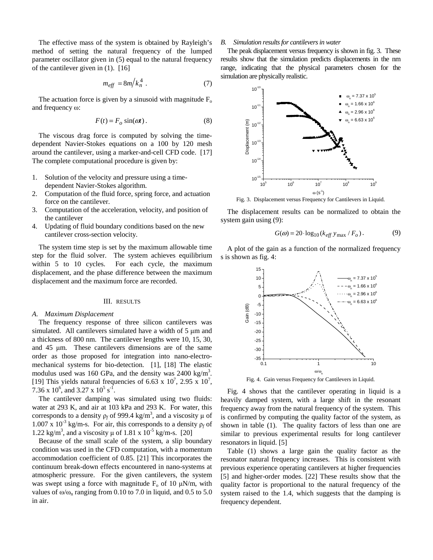The effective mass of the system is obtained by Rayleigh's method of setting the natural frequency of the lumped parameter oscillator given in (5) equal to the natural frequency of the cantilever given in (1). [16]

$$
m_{\text{eff}} = 8m/k_n^4 \tag{7}
$$

The actuation force is given by a sinusoid with magnitude  $F<sub>o</sub>$ and frequency ω:

$$
F(t) = F_o \sin(\omega t). \tag{8}
$$

The viscous drag force is computed by solving the timedependent Navier-Stokes equations on a 100 by 120 mesh around the cantilever, using a marker-and-cell CFD code. [17] The complete computational procedure is given by:

- 1. Solution of the velocity and pressure using a timedependent Navier-Stokes algorithm.
- 2. Computation of the fluid force, spring force, and actuation force on the cantilever.
- 3. Computation of the acceleration, velocity, and position of the cantilever
- 4. Updating of fluid boundary conditions based on the new cantilever cross-section velocity.

The system time step is set by the maximum allowable time step for the fluid solver. The system achieves equilibrium within 5 to 10 cycles. For each cycle, the maximum displacement, and the phase difference between the maximum displacement and the maximum force are recorded.

## III. RESULTS

# *A. Maximum Displacement*

The frequency response of three silicon cantilevers was simulated. All cantilevers simulated have a width of 5 μm and a thickness of 800 nm. The cantilever lengths were 10, 15, 30, and 45 μm. These cantilevers dimensions are of the same order as those proposed for integration into nano-electromechanical systems for bio-detection. [1], [18] The elastic modulus used was 160 GPa, and the density was  $2400 \text{ kg/m}^3$ . [19] This yields natural frequencies of 6.63 x  $10^7$ , 2.95 x  $10^7$ , 7.36 x  $10^6$ , and 3.27 x  $10^5$  s<sup>-1</sup>.

The cantilever damping was simulated using two fluids: water at 293 K, and air at 103 kPa and 293 K. For water, this corresponds to a density  $\rho_f$  of 999.4 kg/m<sup>3</sup>, and a viscosity  $\mu$  of  $1.007 \times 10^{-3}$  kg/m-s. For air, this corresponds to a density  $\rho_f$  of 1.22 kg/m<sup>3</sup>, and a viscosity μ of 1.81 x  $10^{-5}$  kg/m-s. [20]

Because of the small scale of the system, a slip boundary condition was used in the CFD computation, with a momentum accommodation coefficient of 0.85. [21] This incorporates the continuum break-down effects encountered in nano-systems at atmospheric pressure. For the given cantilevers, the system was swept using a force with magnitude  $F_0$  of 10  $\mu$ N/m, with values of  $\omega/\omega$ <sub>n</sub> ranging from 0.10 to 7.0 in liquid, and 0.5 to 5.0 in air.

#### *B. Simulation results for cantilevers in water*

The peak displacement versus frequency is shown in fig. 3. These results show that the simulation predicts displacements in the nm range, indicating that the physical parameters chosen for the simulation are physically realistic.



Fig. 3. Displacement versus Frequency for Cantilevers in Liquid.

The displacement results can be normalized to obtain the system gain using (9):

$$
G(\omega) = 20 \cdot \log_{10} (k_{\text{eff}} y_{\text{max}} / F_o). \tag{9}
$$

A plot of the gain as a function of the normalized frequency s is shown as fig. 4:



Fig. 4. Gain versus Frequency for Cantilevers in Liquid.

Fig. 4 shows that the cantilever operating in liquid is a heavily damped system, with a large shift in the resonant frequency away from the natural frequency of the system. This is confirmed by computing the quality factor of the system, as shown in table (1). The quality factors of less than one are similar to previous experimental results for long cantilever resonators in liquid. [5]

Table (1) shows a large gain the quality factor as the resonator natural frequency increases. This is consistent with previous experience operating cantilevers at higher frequencies [5] and higher-order modes. [22] These results show that the quality factor is proportional to the natural frequency of the system raised to the 1.4, which suggests that the damping is frequency dependent.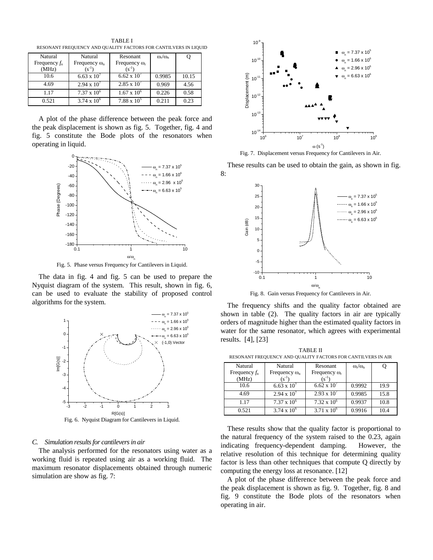Natural Frequency *f*<sup>n</sup> (MHz) Natural Frequency ω<sub>n</sub>  $(s^{-1})$ Resonant Frequency ω<sup>r</sup>  $(s^{-1})$  $\omega_{\rm r}/\omega_{\rm n}$  Q 10.6 6.63 x  $10^7$  6.62 x  $10^7$  0.9985 10.15 4.69 2.94 x  $10^7$  2.85 x  $10^7$  0.969 4.56 1.17 7.37 x  $10^6$  $1.67 \times 10^{6}$  0.226 0.58 0.521  $3.74 \times 10^6$  $7.88 \times 10^{5}$ 0.211 0.23

TABLE I RESONANT FREQUENCY AND QUALITY FACTORS FOR CANTILVERS IN LIQUID

A plot of the phase difference between the peak force and the peak displacement is shown as fig. 5. Together, fig. 4 and fig. 5 constitute the Bode plots of the resonators when operating in liquid.



Fig. 5. Phase versus Frequency for Cantilevers in Liquid.

The data in fig. 4 and fig. 5 can be used to prepare the Nyquist diagram of the system. This result, shown in fig. 6, can be used to evaluate the stability of proposed control algorithms for the system.



Fig. 6. Nyquist Diagram for Cantilevers in Liquid.

# *C. Simulation results for cantilevers in air*

The analysis performed for the resonators using water as a working fluid is repeated using air as a working fluid. The maximum resonator displacements obtained through numeric simulation are show as fig. 7:



Fig. 7. Displacement versus Frequency for Cantilevers in Air.

These results can be used to obtain the gain, as shown in fig. 8:



Fig. 8. Gain versus Frequency for Cantilevers in Air.

The frequency shifts and the quality factor obtained are shown in table (2). The quality factors in air are typically orders of magnitude higher than the estimated quality factors in water for the same resonator, which agrees with experimental results. [4], [23]

TABLE II RESONANT FREQUENCY AND QUALITY FACTORS FOR CANTILVERS IN AIR

| Natural         | Natural              | Resonant             | $\omega_{\rm r}/\omega_{\rm n}$ |      |  |  |  |  |
|-----------------|----------------------|----------------------|---------------------------------|------|--|--|--|--|
| Frequency $f_n$ | Frequency $\omega_n$ | Frequency $\omega_r$ |                                 |      |  |  |  |  |
| (MHz)           | $(s^{-1})$           | $(s^{-1})$           |                                 |      |  |  |  |  |
| 10.6            | $6.63 \times 10^{7}$ | $6.62 \times 10^{7}$ | 0.9992                          | 19.9 |  |  |  |  |
| 4.69            | $2.94 \times 10^{7}$ | $2.93 \times 10^{7}$ | 0.9985                          | 15.8 |  |  |  |  |
| 1.17            | $7.37 \times 10^6$   | $7.32 \times 10^6$   | 0.9937                          | 10.8 |  |  |  |  |
| 0.521           | $3.74 \times 10^{6}$ | $3.71 \times 10^{6}$ | 0.9916                          | 10.4 |  |  |  |  |

These results show that the quality factor is proportional to the natural frequency of the system raised to the 0.23, again indicating frequency-dependent damping. However, the relative resolution of this technique for determining quality factor is less than other techniques that compute Q directly by computing the energy loss at resonance. [12]

A plot of the phase difference between the peak force and the peak displacement is shown as fig. 9. Together, fig. 8 and fig. 9 constitute the Bode plots of the resonators when operating in air.